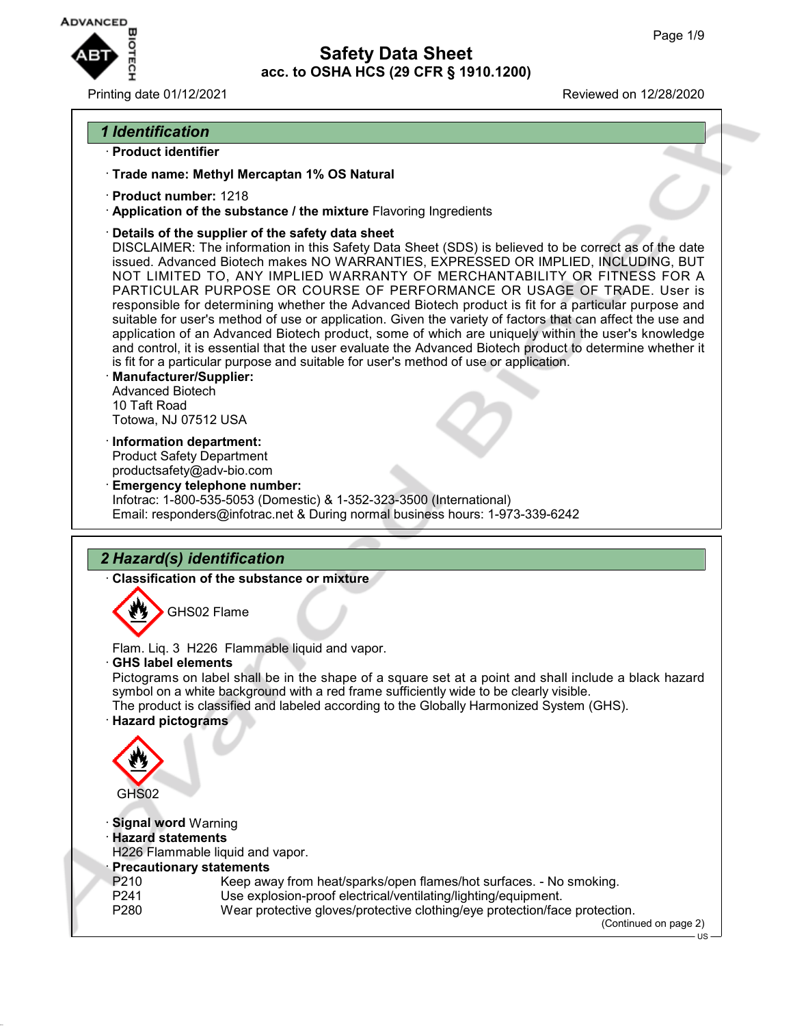

Printing date 01/12/2021 Reviewed on 12/28/2020

### *1 Identification*

- · **Product identifier**
- · **Trade name: Methyl Mercaptan 1% OS Natural**
- · **Product number:** 1218
- · **Application of the substance / the mixture** Flavoring Ingredients
- · **Details of the supplier of the safety data sheet**

DISCLAIMER: The information in this Safety Data Sheet (SDS) is believed to be correct as of the date issued. Advanced Biotech makes NO WARRANTIES, EXPRESSED OR IMPLIED, INCLUDING, BUT NOT LIMITED TO, ANY IMPLIED WARRANTY OF MERCHANTABILITY OR FITNESS FOR A PARTICULAR PURPOSE OR COURSE OF PERFORMANCE OR USAGE OF TRADE. User is responsible for determining whether the Advanced Biotech product is fit for a particular purpose and suitable for user's method of use or application. Given the variety of factors that can affect the use and application of an Advanced Biotech product, some of which are uniquely within the user's knowledge and control, it is essential that the user evaluate the Advanced Biotech product to determine whether it is fit for a particular purpose and suitable for user's method of use or application.

- · **Manufacturer/Supplier:** Advanced Biotech 10 Taft Road Totowa, NJ 07512 USA
- · **Information department:** Product Safety Department productsafety@adv-bio.com
- · **Emergency telephone number:** Infotrac: 1-800-535-5053 (Domestic) & 1-352-323-3500 (International) Email: responders@infotrac.net & During normal business hours: 1-973-339-6242

# *2 Hazard(s) identification*

· **Classification of the substance or mixture**



Flam. Liq. 3 H226 Flammable liquid and vapor.

· **GHS label elements**

Pictograms on label shall be in the shape of a square set at a point and shall include a black hazard symbol on a white background with a red frame sufficiently wide to be clearly visible. The product is classified and labeled according to the Globally Harmonized System (GHS).

· **Hazard pictograms**



- · **Signal word** Warning
- · **Hazard statements**
- H226 Flammable liquid and vapor.
- **Precautionary statements**<br>P210 Keep aw
- Keep away from heat/sparks/open flames/hot surfaces. No smoking.
- P241 Use explosion-proof electrical/ventilating/lighting/equipment.
- P280 Wear protective gloves/protective clothing/eye protection/face protection.

(Continued on page 2) US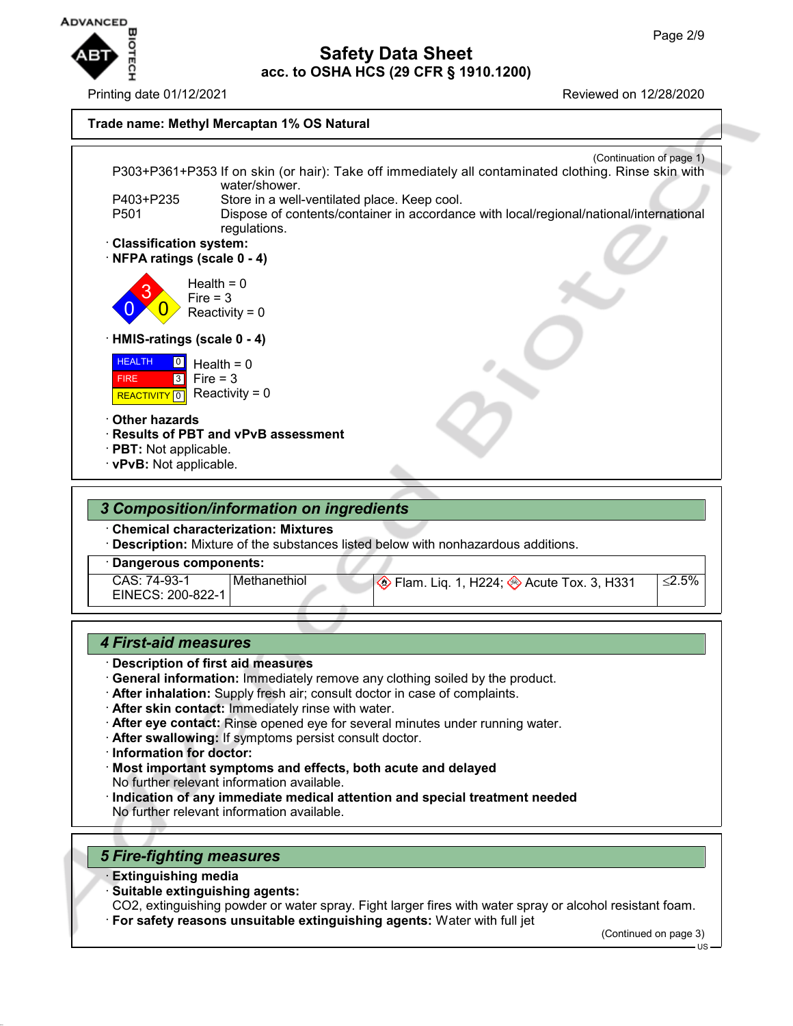

Printing date 01/12/2021 Reviewed on 12/28/2020

### **Safety Data Sheet acc. to OSHA HCS (29 CFR § 1910.1200)**

#### **Trade name: Methyl Mercaptan 1% OS Natural**



· **Description:** Mixture of the substances listed below with nonhazardous additions.

### · **Dangerous components:**

CAS: 74-93-1 EINECS: 200-822-1

# Methanethiol  $\circledast$  Flam. Liq. 1, H224;  $\circledast$  Acute Tox. 3, H331  $\leq$ 2.5%

### *4 First-aid measures*

- · **Description of first aid measures**
- · **General information:** Immediately remove any clothing soiled by the product.
- · **After inhalation:** Supply fresh air; consult doctor in case of complaints.
- · **After skin contact:** Immediately rinse with water.
- · **After eye contact:** Rinse opened eye for several minutes under running water.
- · **After swallowing:** If symptoms persist consult doctor.
- · **Information for doctor:**
- · **Most important symptoms and effects, both acute and delayed** No further relevant information available.
- · **Indication of any immediate medical attention and special treatment needed** No further relevant information available.

# *5 Fire-fighting measures*

- · **Extinguishing media**
- · **Suitable extinguishing agents:**

CO2, extinguishing powder or water spray. Fight larger fires with water spray or alcohol resistant foam.

· **For safety reasons unsuitable extinguishing agents:** Water with full jet

(Continued on page 3)

US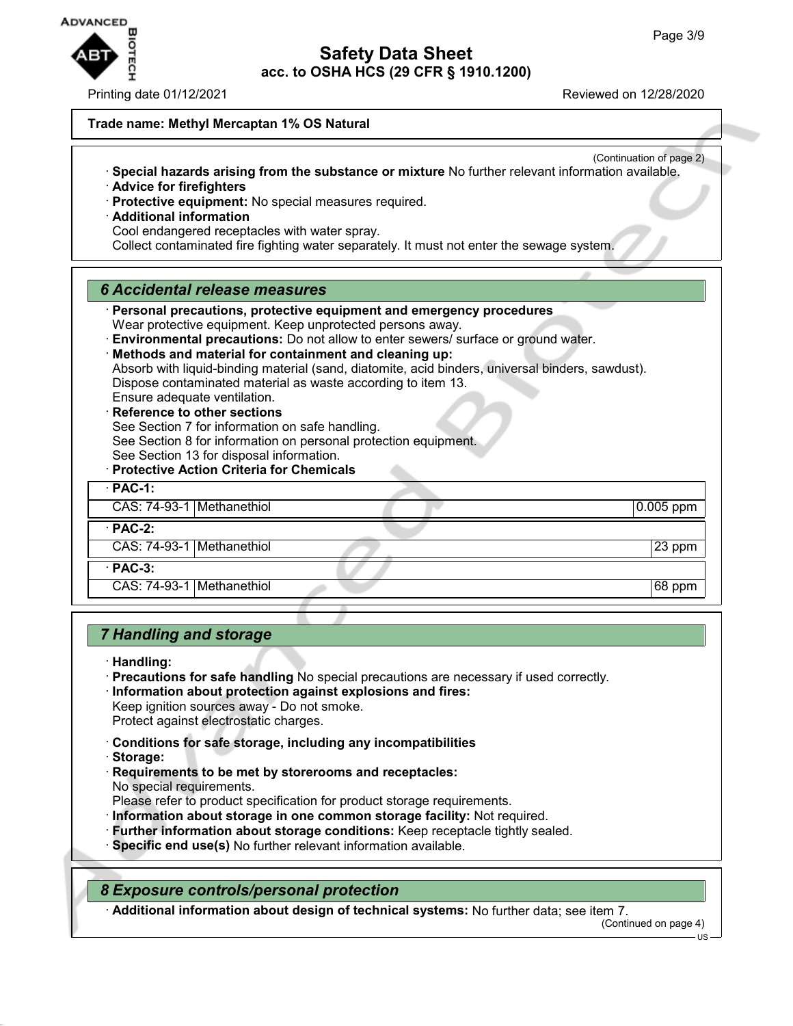

Printing date 01/12/2021 Reviewed on 12/28/2020

#### **Trade name: Methyl Mercaptan 1% OS Natural**

- (Continuation of page 2) · **Special hazards arising from the substance or mixture** No further relevant information available.
- · **Advice for firefighters**
- · **Protective equipment:** No special measures required.
- · **Additional information**
- Cool endangered receptacles with water spray.

Collect contaminated fire fighting water separately. It must not enter the sewage system.

#### *6 Accidental release measures*

· **Personal precautions, protective equipment and emergency procedures** Wear protective equipment. Keep unprotected persons away. · **Environmental precautions:** Do not allow to enter sewers/ surface or ground water. · **Methods and material for containment and cleaning up:** Absorb with liquid-binding material (sand, diatomite, acid binders, universal binders, sawdust). Dispose contaminated material as waste according to item 13. Ensure adequate ventilation. **Reference to other sections** See Section 7 for information on safe handling. See Section 8 for information on personal protection equipment. See Section 13 for disposal information. · **Protective Action Criteria for Chemicals** · **PAC-1:** CAS: 74-93-1 Methanethiol 0.005 ppm · **PAC-2:** CAS: 74-93-1 Methanethiol 23 ppm · **PAC-3:** CAS: 74-93-1 Methanethiol 68 ppm

### *7 Handling and storage*

· **Handling:**

- · **Precautions for safe handling** No special precautions are necessary if used correctly.
- · **Information about protection against explosions and fires:** Keep ignition sources away - Do not smoke.
- Protect against electrostatic charges.
- · **Conditions for safe storage, including any incompatibilities**
- · **Storage:**
- · **Requirements to be met by storerooms and receptacles:** No special requirements.
- Please refer to product specification for product storage requirements.
- · **Information about storage in one common storage facility:** Not required.
- · **Further information about storage conditions:** Keep receptacle tightly sealed.
- · **Specific end use(s)** No further relevant information available.

*8 Exposure controls/personal protection*

· **Additional information about design of technical systems:** No further data; see item 7.

(Continued on page 4)

US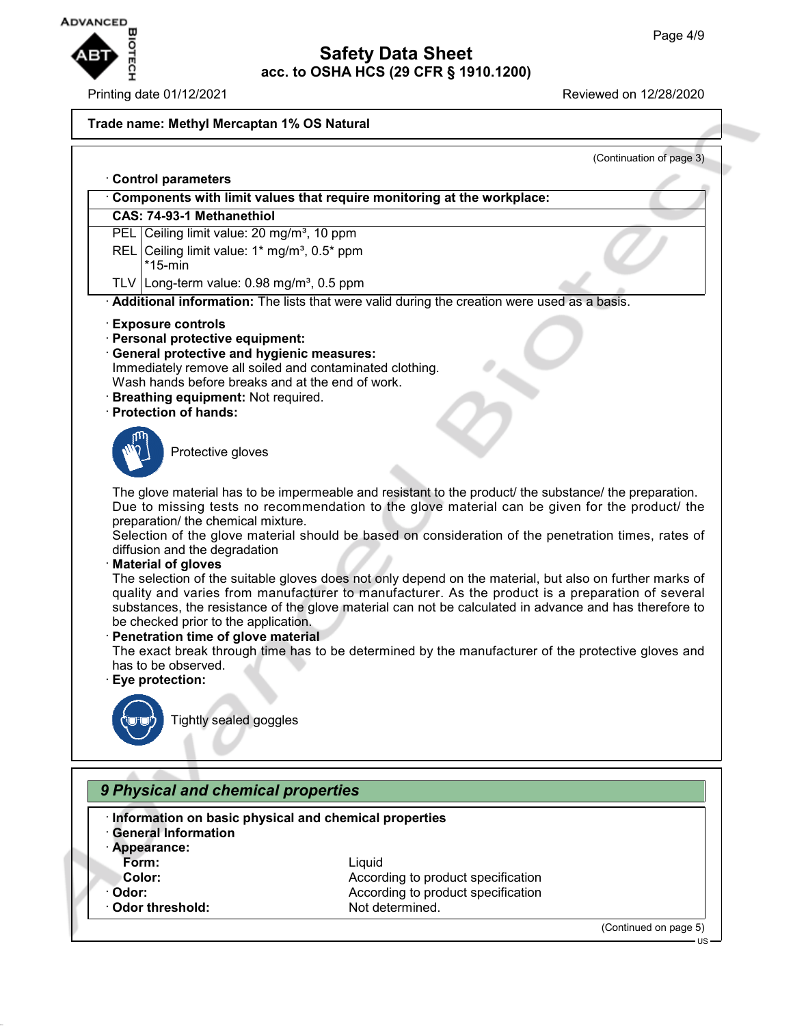

#### Printing date 01/12/2021 Reviewed on 12/28/2020

#### **Trade name: Methyl Mercaptan 1% OS Natural**

(Continuation of page 3) · **Control parameters** · **Components with limit values that require monitoring at the workplace: CAS: 74-93-1 Methanethiol** PEL Ceiling limit value: 20 mg/m<sup>3</sup>, 10 ppm REL Ceiling limit value:  $1*$  mg/m<sup>3</sup>,  $0.5*$  ppm \*15-min TLV Long-term value:  $0.98$  mg/m<sup>3</sup>,  $0.5$  ppm · **Additional information:** The lists that were valid during the creation were used as a basis. · **Exposure controls** · **Personal protective equipment:** · **General protective and hygienic measures:** Immediately remove all soiled and contaminated clothing. Wash hands before breaks and at the end of work. · **Breathing equipment:** Not required. · **Protection of hands:** Protective gloves The glove material has to be impermeable and resistant to the product/ the substance/ the preparation. Due to missing tests no recommendation to the glove material can be given for the product/ the preparation/ the chemical mixture. Selection of the glove material should be based on consideration of the penetration times, rates of diffusion and the degradation · **Material of gloves** The selection of the suitable gloves does not only depend on the material, but also on further marks of quality and varies from manufacturer to manufacturer. As the product is a preparation of several substances, the resistance of the glove material can not be calculated in advance and has therefore to be checked prior to the application. · **Penetration time of glove material** The exact break through time has to be determined by the manufacturer of the protective gloves and has to be observed. · **Eye protection:** Tightly sealed goggles *9 Physical and chemical properties* · **Information on basic physical and chemical properties** · **General Information**

- 
- · **Appearance:**
- 
- -
- 

**Form:** Liquid **Color:** According to product specification **Odor:** According to product specification **Odor threshold:** Not determined.

(Continued on page 5)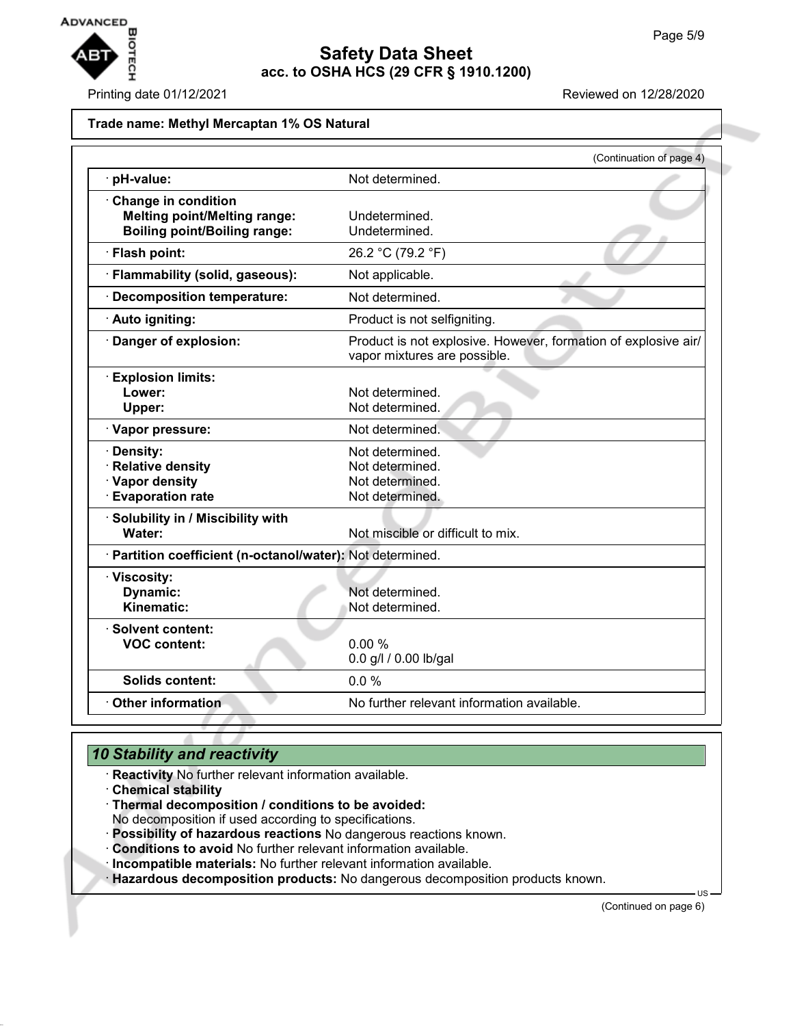

#### Printing date 01/12/2021 **Reviewed on 12/28/2020**

#### **Trade name: Methyl Mercaptan 1% OS Natural**

|                                                                                                   | (Continuation of page 4)                                                                       |
|---------------------------------------------------------------------------------------------------|------------------------------------------------------------------------------------------------|
| pH-value:                                                                                         | Not determined.                                                                                |
| Change in condition<br><b>Melting point/Melting range:</b><br><b>Boiling point/Boiling range:</b> | Undetermined.<br>Undetermined.                                                                 |
| · Flash point:                                                                                    | 26.2 °C (79.2 °F)                                                                              |
| · Flammability (solid, gaseous):                                                                  | Not applicable.                                                                                |
| · Decomposition temperature:                                                                      | Not determined.                                                                                |
| · Auto igniting:                                                                                  | Product is not selfigniting.                                                                   |
| Danger of explosion:                                                                              | Product is not explosive. However, formation of explosive air/<br>vapor mixtures are possible. |
| <b>Explosion limits:</b><br>Lower:<br>Upper:                                                      | Not determined.<br>Not determined.                                                             |
| · Vapor pressure:                                                                                 | Not determined.                                                                                |
| · Density:<br>· Relative density<br>· Vapor density<br><b>Evaporation rate</b>                    | Not determined.<br>Not determined.<br>Not determined.<br>Not determined.                       |
| · Solubility in / Miscibility with<br>Water:                                                      | Not miscible or difficult to mix.                                                              |
| · Partition coefficient (n-octanol/water): Not determined.                                        |                                                                                                |
| · Viscosity:<br>Dynamic:<br>Kinematic:                                                            | Not determined.<br>Not determined.                                                             |
| · Solvent content:<br><b>VOC content:</b>                                                         | 0.00%<br>0.0 g/l / 0.00 lb/gal                                                                 |
| <b>Solids content:</b>                                                                            | 0.0%                                                                                           |
| Other information                                                                                 | No further relevant information available.                                                     |

# *10 Stability and reactivity*

- · **Reactivity** No further relevant information available.
- · **Chemical stability**
- · **Thermal decomposition / conditions to be avoided:**

No decomposition if used according to specifications.

- · **Possibility of hazardous reactions** No dangerous reactions known.
- · **Conditions to avoid** No further relevant information available.
- · **Incompatible materials:** No further relevant information available.
- · **Hazardous decomposition products:** No dangerous decomposition products known.

(Continued on page 6)

US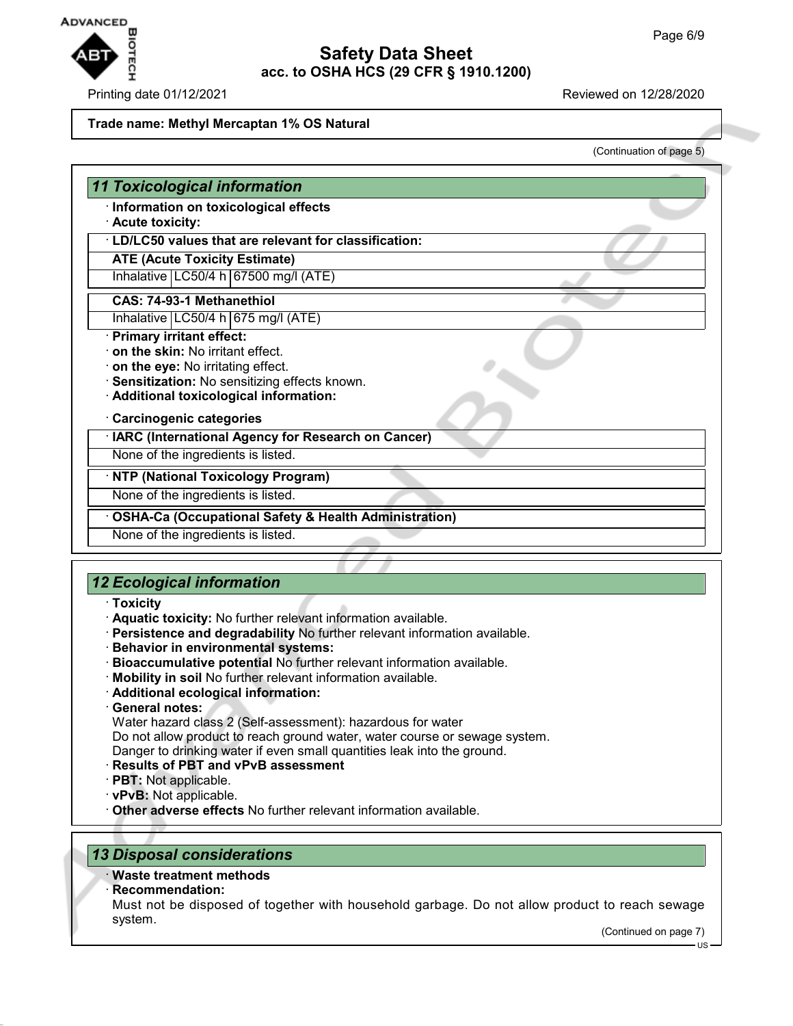

#### Printing date 01/12/2021 Reviewed on 12/28/2020

#### **Trade name: Methyl Mercaptan 1% OS Natural**

(Continuation of page 5)

# *11 Toxicological information*

· **Information on toxicological effects**

#### · **Acute toxicity:**

· **LD/LC50 values that are relevant for classification:**

**ATE (Acute Toxicity Estimate)**

Inhalative  $LC50/4$  h 67500 mg/l (ATE)

#### **CAS: 74-93-1 Methanethiol**

Inhalative  $|LC50/4 h|675 mg/l (ATE)$ 

- · **Primary irritant effect:**
- · **on the skin:** No irritant effect.
- · **on the eye:** No irritating effect.
- · **Sensitization:** No sensitizing effects known.
- · **Additional toxicological information:**

#### · **Carcinogenic categories**

· **IARC (International Agency for Research on Cancer)**

None of the ingredients is listed.

· **NTP (National Toxicology Program)**

None of the ingredients is listed.

· **OSHA-Ca (Occupational Safety & Health Administration)**

None of the ingredients is listed.

# *12 Ecological information*

- · **Toxicity**
- · **Aquatic toxicity:** No further relevant information available.
- · **Persistence and degradability** No further relevant information available.
- · **Behavior in environmental systems:**
- · **Bioaccumulative potential** No further relevant information available.
- · **Mobility in soil** No further relevant information available.
- · **Additional ecological information:**
- · **General notes:**

Water hazard class 2 (Self-assessment): hazardous for water Do not allow product to reach ground water, water course or sewage system. Danger to drinking water if even small quantities leak into the ground.

- · **Results of PBT and vPvB assessment**
- · **PBT:** Not applicable.
- · **vPvB:** Not applicable.
- · **Other adverse effects** No further relevant information available.

# *13 Disposal considerations*

#### · **Waste treatment methods**

· **Recommendation:**

Must not be disposed of together with household garbage. Do not allow product to reach sewage system.

(Continued on page 7)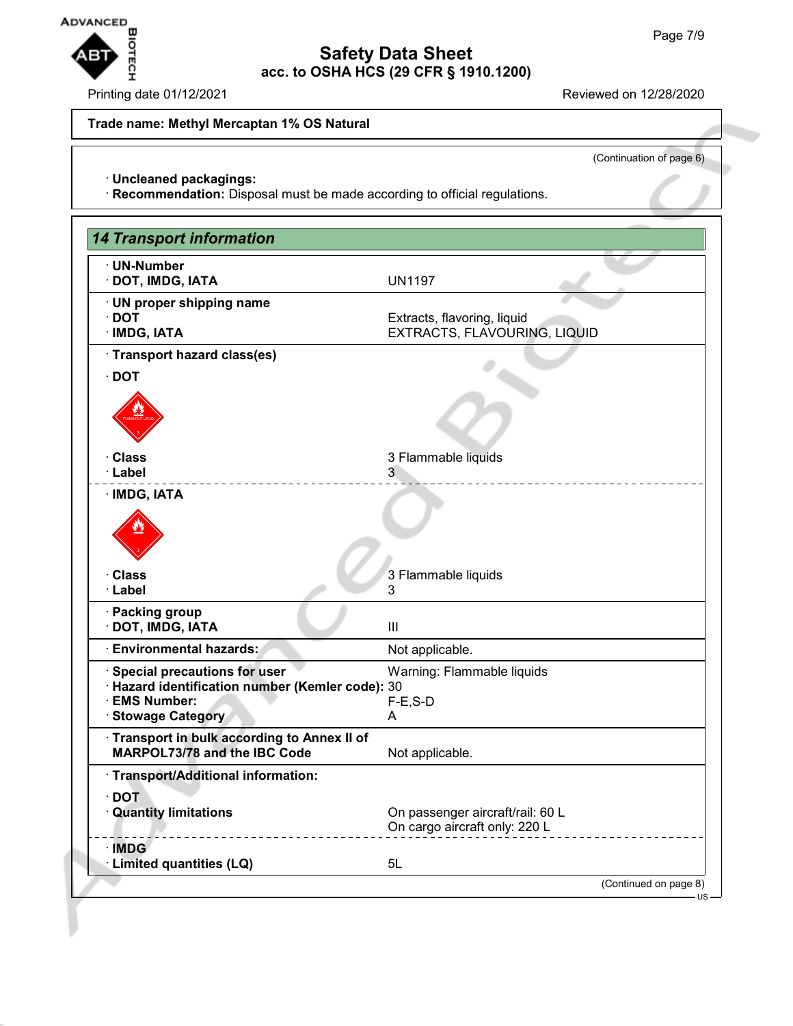

Printing date 01/12/2021 **Reviewed on 12/28/2020** 

**Trade name: Methyl Mercaptan 1% OS Natural**

(Continuation of page 6)

· **Uncleaned packagings:**

· **Recommendation:** Disposal must be made according to official regulations.

| <b>14 Transport information</b>                                                                                                     |                                                                   |
|-------------------------------------------------------------------------------------------------------------------------------------|-------------------------------------------------------------------|
| · UN-Number<br>· DOT, IMDG, IATA                                                                                                    | <b>UN1197</b>                                                     |
| · UN proper shipping name<br>$\cdot$ DOT<br>· IMDG, IATA                                                                            | Extracts, flavoring, liquid<br>EXTRACTS, FLAVOURING, LIQUID       |
| · Transport hazard class(es)                                                                                                        |                                                                   |
| $\cdot$ DOT                                                                                                                         |                                                                   |
|                                                                                                                                     |                                                                   |
| · Class<br>· Label                                                                                                                  | 3 Flammable liquids<br>3                                          |
| · IMDG, IATA                                                                                                                        |                                                                   |
|                                                                                                                                     |                                                                   |
| · Class<br>· Label                                                                                                                  | 3 Flammable liquids<br>3                                          |
| · Packing group<br>· DOT, IMDG, IATA                                                                                                | Ш                                                                 |
| · Environmental hazards:                                                                                                            | Not applicable.                                                   |
| <b>Special precautions for user</b><br>· Hazard identification number (Kemler code): 30<br><b>EMS Number:</b><br>· Stowage Category | Warning: Flammable liquids<br>$F-E$ , S-D<br>A                    |
| Transport in bulk according to Annex II of<br>MARPOL73/78 and the IBC Code                                                          | Not applicable.                                                   |
| · Transport/Additional information:                                                                                                 |                                                                   |
| $\cdot$ DOT<br>· Quantity limitations                                                                                               | On passenger aircraft/rail: 60 L<br>On cargo aircraft only: 220 L |
| · IMDG<br>· Limited quantities (LQ)                                                                                                 | 5L                                                                |
|                                                                                                                                     | (Continued on page 8)<br>US                                       |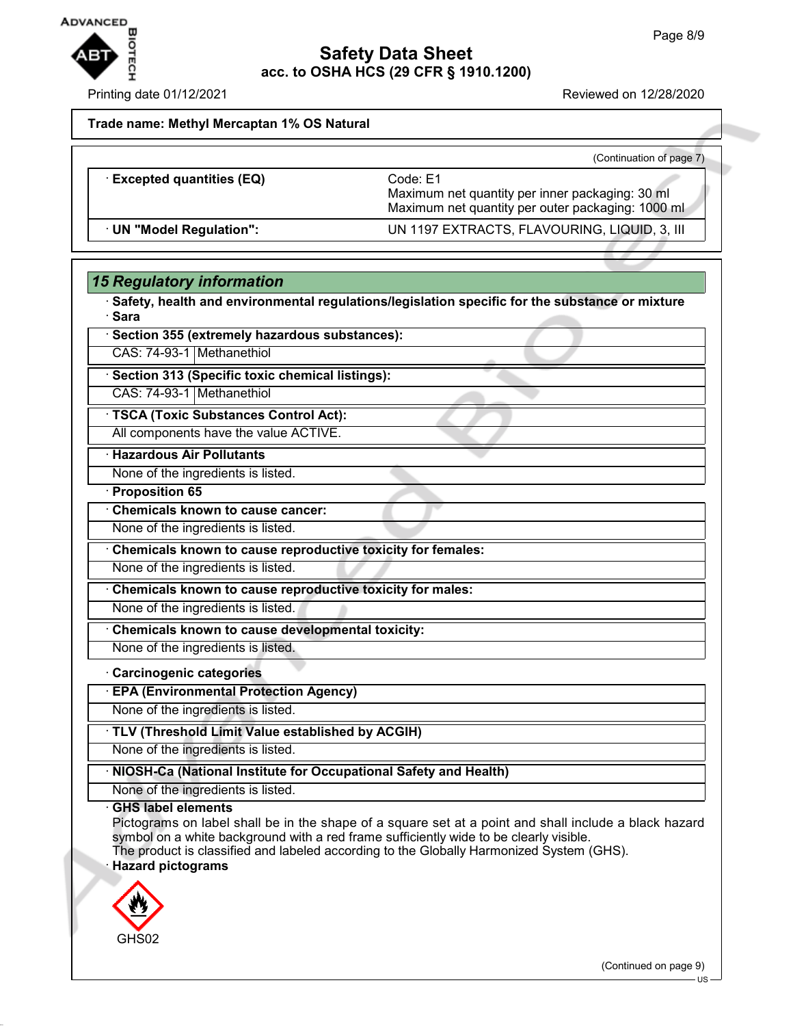

Printing date 01/12/2021 Reviewed on 12/28/2020

(Continuation of page 7)

**Trade name: Methyl Mercaptan 1% OS Natural**

|                                 | (Continuation of page 1)                                                                                         |
|---------------------------------|------------------------------------------------------------------------------------------------------------------|
| <b>Excepted quantities (EQ)</b> | Code: E1<br>Maximum net quantity per inner packaging: 30 ml<br>Maximum net quantity per outer packaging: 1000 ml |
| · UN "Model Regulation":        | UN 1197 EXTRACTS, FLAVOURING, LIQUID, 3, III                                                                     |

### *15 Regulatory information*

· **Safety, health and environmental regulations/legislation specific for the substance or mixture** · **Sara**

|  | · Section 355 (extremely hazardous substances): |
|--|-------------------------------------------------|
|--|-------------------------------------------------|

CAS: 74-93-1 Methanethiol

· **Section 313 (Specific toxic chemical listings):**

CAS: 74-93-1 Methanethiol

· **TSCA (Toxic Substances Control Act):**

All components have the value ACTIVE.

· **Hazardous Air Pollutants**

None of the ingredients is listed.

· **Proposition 65**

· **Chemicals known to cause cancer:**

None of the ingredients is listed.

· **Chemicals known to cause reproductive toxicity for females:**

None of the ingredients is listed.

· **Chemicals known to cause reproductive toxicity for males:**

None of the ingredients is listed.

· **Chemicals known to cause developmental toxicity:**

None of the ingredients is listed.

#### · **Carcinogenic categories**

· **EPA (Environmental Protection Agency)**

None of the ingredients is listed.

· **TLV (Threshold Limit Value established by ACGIH)**

None of the ingredients is listed.

#### · **NIOSH-Ca (National Institute for Occupational Safety and Health)**

None of the ingredients is listed.

### · **GHS label elements**

Pictograms on label shall be in the shape of a square set at a point and shall include a black hazard symbol on a white background with a red frame sufficiently wide to be clearly visible.

The product is classified and labeled according to the Globally Harmonized System (GHS). · **Hazard pictograms**



(Continued on page 9)